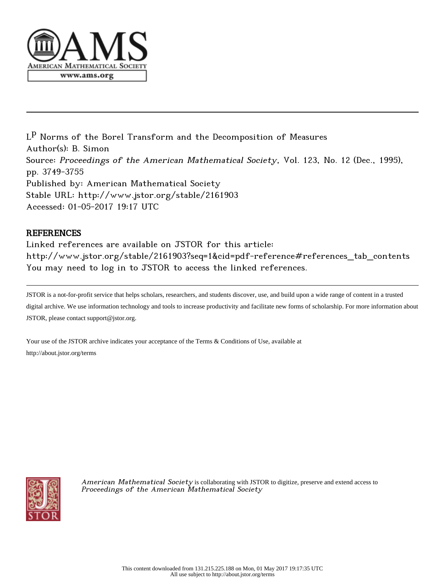

 $\mathsf{L}^\mathbf{p}$  Norms of the Borel Transform and the Decomposition of Measures Author(s): B. Simon Source: Proceedings of the American Mathematical Society, Vol. 123, No. 12 (Dec., 1995), pp. 3749-3755 Published by: American Mathematical Society Stable URL: http://www.jstor.org/stable/2161903 Accessed: 01-05-2017 19:17 UTC

# REFERENCES

Linked references are available on JSTOR for this article: http://www.jstor.org/stable/2161903?seq=1&cid=pdf-reference#references\_tab\_contents You may need to log in to JSTOR to access the linked references.

JSTOR is a not-for-profit service that helps scholars, researchers, and students discover, use, and build upon a wide range of content in a trusted digital archive. We use information technology and tools to increase productivity and facilitate new forms of scholarship. For more information about JSTOR, please contact support@jstor.org.

Your use of the JSTOR archive indicates your acceptance of the Terms & Conditions of Use, available at http://about.jstor.org/terms



American Mathematical Society is collaborating with JSTOR to digitize, preserve and extend access to Proceedings of the American Mathematical Society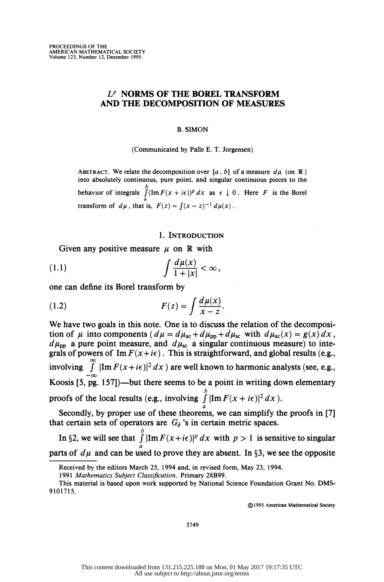## $L^p$  NORMS OF THE BOREL TRANSFORM AND THE DECOMPOSITION OF MEASURES

#### B. SIMON

(Communicated by Palle E. T. Jorgensen)

ABSTRACT. We relate the decomposition over [a, b] of a measure  $d\mu$  (on R) into absolutely continuous, pure point, and singular continuous pieces to the behavior of integrals  $\int (Im F(x + i\epsilon))^p dx$  as  $\epsilon \downarrow 0$ . Here F is the Borel transform of  $d\mu$ , that is,  $F(z) = \int (x \cdot z) \, dz$ 

### 1. INTRODUCTION

Given any positive measure  $\mu$  on R with

$$
(1.1) \t\t \t\t \int \frac{d\mu(x)}{1+|x|} < \infty,
$$

one can define its Borel transform by

(1.2) 
$$
F(z) = \int \frac{d\mu(x)}{x - z}.
$$

 We have two goals in this note. One is to discuss the relation of the decomposi tion of  $\mu$  into components ( $d\mu = d\mu_{ac} + d\mu_{pp} + d\mu_{sc}$  with  $d\mu_{ac}(x) = g(x) dx$ ,  $d\mu_{\rm pp}$  a pure point measure, and  $d\mu_{\rm sc}$  a singular continuous measure) to integrals of powers of  $\text{Im } F(x+i\epsilon)$ . This is straightforward, and global results (e.g., involving  $\int_{-\infty}^{\infty} |\text{Im } F(x+i\epsilon)|^2 dx$  are well known to harmonic analysts (see, e.g.,<br>Koosis [5, pg. 157])—but there seems to be a point in writing down elementary  $\boldsymbol{\mathsf{\nu}}$ proofs of the local results (e.g.,  $\text{mpc}$ a

Secondry, by proper use of these theorems, we that certain sets of operators are  $G_{\delta}$ 's in certain metric spaces.

 $\boldsymbol{\nu}$ In  $32$ , we will see that  $\int$   $\mu$ *m*  $\ell$   $(x + i\varepsilon)$   $\mu x$  a parts of  $\alpha\mu$  and can be used to prove they are ab

@)1995 American Mathematical Society

3749

Received by the editors March 25, 1994 and, in revised form, May 23, 1994.

 <sup>1991</sup> Mathematics Subject Classification. Primary 28B99.

This material is based upon work supported by National Science Foundation Grant No. DMS- 9101715.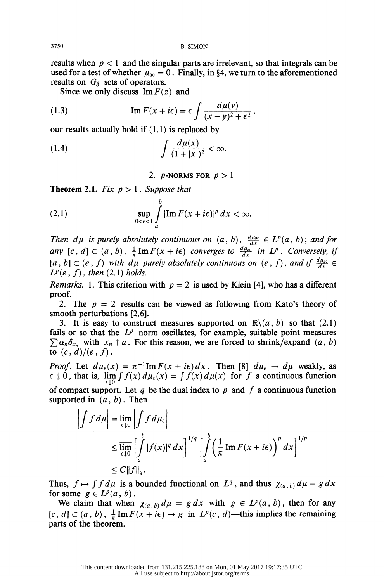results when  $p < 1$  and the singular parts are irrelevant, so that integrals can be used for a test of whether  $\mu_{ac} = 0$ . Finally, in §4, we turn to the aforementioned results on  $G_{\delta}$  sets of operators.

Since we only discuss  $\text{Im } F(z)$  and

(1.3) 
$$
\operatorname{Im} F(x + i\epsilon) = \epsilon \int \frac{d\mu(y)}{(x - y)^2 + \epsilon^2},
$$

our results actually hold if (1.1) is replaced by  
(1.4) 
$$
\int \frac{d\mu(x)}{(1+|x|)^2} < \infty.
$$

2. *p*-NORMS FOR  $p > 1$ 

**Theorem 2.1.** Fix  $p > 1$ . Suppose that

(2.1) 
$$
\sup_{0<\epsilon<1}\int\limits_a^b|\mathrm{Im}\,F(x+i\epsilon)|^p\,dx<\infty.
$$

Then  $d\mu$  is purely absolutely continuous on  $(a, b)$ ,  $\frac{d\mu_{ac}}{dx} \in L^p(a, b)$ ; and for any  $[c, d] \subset (a, b)$ ,  $\frac{1}{\pi} \text{Im} F(x + i\epsilon)$  converges to  $\frac{d\mu_{ac}}{dx}$  in  $L^p$ . Conversely, if  $[a, b] \subset (e, f)$  with dµ purely absolutely continuous on  $(e, f)$ , and if  $\frac{d\mu_{ac}}{dx} \in$  $L^p(e, f)$ , then (2.1) holds.

*Remarks.* 1. This criterion with  $p = 2$  is used by Klein [4], who has a different proof.

2. The  $p = 2$  results can be viewed as following from Kato's theory of smooth perturbations [2,6].

3. It is easy to construct measures supported on  $\mathbb{R}\setminus\{a, b\}$  so that (2.1) fails or so that the  $L^p$  norm oscillates, for example, suitable point measures  $\sum \alpha_n \delta_{x_n}$  with  $x_n \uparrow a$ . For this reason, we are forced to shrink/expand  $(a, b)$ to  $(c, d)/(e, f)$ .

*Proof.* Let  $d\mu_{\epsilon}(x) = \pi^{-1} \text{Im } F(x + i\epsilon) dx$ . Then [8]  $d\mu_{\epsilon} \to d\mu$  weakly, as  $\epsilon \downarrow 0$ , that is,  $\lim_{\epsilon \to 0} \int f(x) d\mu_{\epsilon}(x) = \int f(x) d\mu(x)$  for f a continuous function of compact support. Let q be the dual index to p and f a continuous function supported in  $(a, b)$ . Then

$$
\left| \int f d\mu \right| = \lim_{\epsilon \downarrow 0} \left| \int f d\mu_{\epsilon} \right|
$$
  
\n
$$
\leq \overline{\lim_{\epsilon \downarrow 0}} \left[ \int_{a}^{b} |f(x)|^{q} dx \right]^{1/q} \left[ \int_{a}^{b} \left( \frac{1}{\pi} \operatorname{Im} F(x + i\epsilon) \right)^{p} dx \right]^{1/p}
$$
  
\n
$$
\leq C \|f\|_{q}.
$$

Thus,  $f \mapsto \int f d\mu$  is a bounded functional on  $L^q$ , and thus  $\chi_{(a, b)} d\mu = g dx$ for some  $g \in L^p(a, b)$ .

We claim that when  $\chi_{(a, b)} d\mu = g dx$  with  $g \in L^p(a, b)$ , then for any  $[c, d] \subset (a, b), \frac{1}{\pi} \text{Im } F(x + i\epsilon) \to g$  in  $L^p(c, d)$ —this implies the remaining parts of the theorem.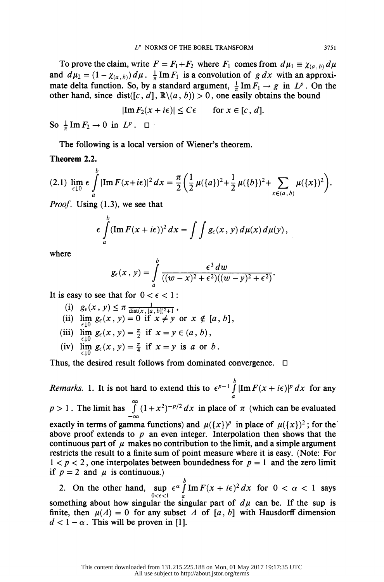To prove the claim, write  $F = F_1 + F_2$  where  $F_1$  comes from  $d\mu_1 \equiv \chi_{(a, b)} d\mu$ and  $d\mu_2 = (1 - \chi_{(a, b)}) d\mu$ .  $\frac{1}{\pi} \text{Im} F_1$  is a convolution of g dx with an approximate delta function. So, by a standard argument,  $\frac{1}{\pi}$  Im  $F_1 \rightarrow g$  in  $L^p$ . On the other hand, since dist([c, d],  $\mathbb{R}\setminus\{a, b\} > 0$ , one easily obtains the bound

$$
|\operatorname{Im} F_2(x+i\epsilon)| \leq C\epsilon \quad \text{for } x \in [c, d].
$$

So  $\frac{1}{\pi}$  Im  $F_2 \to 0$  in  $L^p$ .  $\Box$ 

The following is a local version of Wiener's theorem.

# Theorem 2.2.

$$
(2.1) \lim_{\epsilon \downarrow 0} \epsilon \int_{a}^{b} |\text{Im} \, F(x+i\epsilon)|^2 \, dx = \frac{\pi}{2} \left( \frac{1}{2} \, \mu(\{a\})^2 + \frac{1}{2} \, \mu(\{b\})^2 + \sum_{x \in (a,\,b)} \mu(\{x\})^2 \right).
$$

*Proof.* Using  $(1.3)$ , we see that

$$
\epsilon \int\limits_a^b (\operatorname{Im} F(x + i\epsilon))^2 dx = \int\int g_{\epsilon}(x, y) d\mu(x) d\mu(y),
$$

where

$$
g_{\epsilon}(x, y) = \int\limits_{a}^{b} \frac{\epsilon^3 dw}{((w - x)^2 + \epsilon^2)((w - y)^2 + \epsilon^2)}.
$$

It is easy to see that for  $0 < \epsilon < 1$ :

- $g_{\epsilon}(\lambda, y) \geq \mu \frac{\mathrm{dist}(x, [a, b])^2+1}{\mathrm{dist}(x, [a, b])^2+1}$
- (ii)  $\lim_{x \to b} g_{\epsilon}(x, y) = 0$  if  $x \neq y$  or  $x \notin [a, b]$ ,
- (iii)  $\lim_{z \to 0} g_{\epsilon}(x, y) = \frac{\pi}{2}$  if  $x = y \in (a, b)$ ,
- (iv)  $\lim_{\alpha \to 0} g_{\epsilon}(x, y) = \frac{\pi}{4}$  if  $x = y$  is a or b.

Thus, the desired result follows from dominated convergence.  $\Box$ 

Remarks. 1. It is not hard to extend this to  $\epsilon^{p-1} \int_a^b |\text{Im } F(x + i\epsilon)|^p dx$  for any  $p > 1$ . The limit has  $\int (1 + x^2)^{-p/2} dx$  in place of  $\pi$  (which can be evaluated  $-\infty$ exactly in terms of gamma functions) and  $\mu({x})^p$  in place of  $\mu({x})^2$ ; for the above proof extends to  $p$  an even integer. Interpolation then shows that the continuous part of  $\mu$  makes no contribution to the limit, and a simple argument restricts the result to a finite sum of point measure where it is easy. (Note: For  $1 < p < 2$ , one interpolates between boundedness for  $p = 1$  and the zero limit if  $p = 2$  and  $\mu$  is continuous.)

2. On the other hand, sup  $\epsilon^{\alpha} \int_{0}^{\beta} \text{Im} F(x + i\epsilon)^{2} dx$  for  $0 < \alpha < 1$  says  $0 < \epsilon < 1$  a something about how singular the singular part of  $d\mu$  can be. If the sup is finite, then  $\mu(A) = 0$  for any subset A of [a, b] with Hausdorff dimension  $d < 1 - \alpha$ . This will be proven in [1].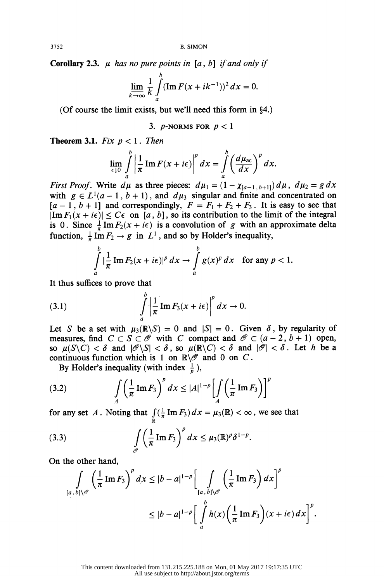**Corollary 2.3.**  $\mu$  has no pure points in [a, b] if and only if

$$
\lim_{k\to\infty}\frac{1}{k}\int\limits_a^b(\operatorname{Im} F(x+ik^{-1}))^2\,dx=0.
$$

(Of course the limit exists, but we'll need this form in  $§4$ .)

3. *p*-NORMS FOR  $p < 1$ 

**Theorem 3.1.** Fix  $p < 1$ . Then

$$
\lim_{\epsilon \downarrow 0} \int_a^b \left| \frac{1}{\pi} \operatorname{Im} F(x + i\epsilon) \right|^p dx = \int_a^b \left( \frac{d\mu_{\text{ac}}}{dx} \right)^p dx.
$$

*First Proof.* Write  $d\mu$  as three pieces:  $d\mu_1 = (1 - \chi_{[a-1, b+1]}) d\mu$ ,  $d\mu_2 = g dx$ 3. p-NORMS FOR  $p < 1$ <br>
Theorem 3.1. Fix  $p < 1$ . Then<br>  $\lim_{\epsilon \downarrow 0} \int_{a}^{b} \left| \frac{1}{\pi} \operatorname{Im} F(x + i\epsilon) \right|^{p} dx = \int_{a}^{b} \left( \frac{d\mu_{ac}}{dx} \right)^{p} dx$ .<br>
First Proof. Write  $d\mu$  as three pieces:  $d\mu_{1} = (1 - \chi_{[a-1, b+1]}) d\mu$ ,  $d\mu_{2} = g$ with  $g \in L^1(a-1, b+1)$ , and  $d\mu_3$  singular and finite and concentrated on  $[a - 1, b + 1]$  and correspondingly,  $F = F_1 + F_2 + F_3$ . It is easy to see that  $|\text{Im } F_1(x + i\epsilon)| \leq C\epsilon$  on [a, b], so its contribution to the limit of the integral is 0. Since  $\frac{1}{\pi}$ Im  $F_2(x + i\epsilon)$  is a convolution of g with an approximate delta  $\begin{aligned} |\xi| &\leq C\epsilon \text{ on } [a, b], \text{ so its cc} \\ \frac{1}{\pi} \text{Im } F_2(x + i\epsilon) \text{ is a convolu} \\ \text{Im } F_2 \to g \text{ in } L^1, \text{ and so by} \\ \int_{b}^{b} |\frac{1}{n} \text{Im } F_2(x + i\epsilon)|^p dx \to \int_{b}^{b} \end{aligned}$ Write  $a\mu$  as time pieces.  $a\mu_1 - (1 - \chi_{[a-1}, b+1]) u\mu$ ,  $a\mu_2 = g u x$ <br>  $a^2(a-1, b+1)$ , and  $d\mu_3$  singular and finite and concentrated on<br>  $\frac{1}{2}$  and correspondingly,  $F = F_1 + F_2 + F_3$ . It is easy to see that<br>  $\frac{1}{\pi}$  I

is 0. Since 
$$
\frac{1}{\pi} \text{Im } F_2(x + i\epsilon)
$$
 is a convolution of g with an approximate delta  
function,  $\frac{1}{\pi} \text{Im } F_2 \to g$  in L<sup>1</sup>, and so by Holder's inequality,  

$$
\int_a^b |\frac{1}{\pi} \text{Im } F_2(x + i\epsilon)|^p dx \to \int_a^b g(x)^p dx \text{ for any } p < 1.
$$
It thus suffices to prove that  

$$
\int_a^b |\frac{1}{\pi} \text{Im } F_2(x + i\epsilon)|^p dx \to 0.
$$

(3.1) 
$$
\int_{a}^{b} \left| \frac{1}{\pi} \operatorname{Im} F_3(x + i\epsilon) \right|^p dx \to 0.
$$

Let S be a set with  $\mu_3(\mathbb{R}\backslash S) = 0$  and  $|S| = 0$ . Given  $\delta$ , by regularity of measures, find  $C \subset S \subset \mathcal{O}$  with C compact and  $\mathcal{O} \subset (a - 2, b + 1)$  open, so  $\mu(S\setminus C) < \delta$  and  $|\mathcal{O}\setminus S| < \delta$ , so  $\mu(\mathbb{R}\setminus C) < \delta$  and  $|\mathcal{O}| < \delta$ . Let h be a continuous function which is 1 on  $\mathbb{R}\setminus\mathscr{O}$  and 0 on C.

By Holder's inequality (with index  $\frac{1}{p}$ ),

By Holder's inequality (with index 
$$
\frac{1}{p}
$$
),  
\n(3.2) 
$$
\int_A \left(\frac{1}{\pi} \operatorname{Im} F_3\right)^p dx \le |A|^{1-p} \left[\int_A \left(\frac{1}{\pi} \operatorname{Im} F_3\right)\right]^p
$$
\nfor any set A. Noting that  $\int_{\mathbb{R}} \left(\frac{1}{\pi} \operatorname{Im} F_3\right) dx = \mu_3(\mathbb{R}) < \infty$ , we see that

R

(3.3) 
$$
\int_{\mathscr{O}} \left( \frac{1}{\pi} \operatorname{Im} F_3 \right)^p dx \leq \mu_3(\mathbb{R})^p \delta^{1-p}.
$$

On the other hand,

$$
\int_{[a, b]\setminus\mathscr{O}} \left(\frac{1}{\pi} \operatorname{Im} F_3\right)^p dx \le |b - a|^{1-p} \left[\int_{[a, b]\setminus\mathscr{O}} \left(\frac{1}{\pi} \operatorname{Im} F_3\right) dx\right]^p
$$
  
 
$$
\le |b - a|^{1-p} \left[\int_a^b h(x) \left(\frac{1}{\pi} \operatorname{Im} F_3\right) (x + i\epsilon) dx\right]^p.
$$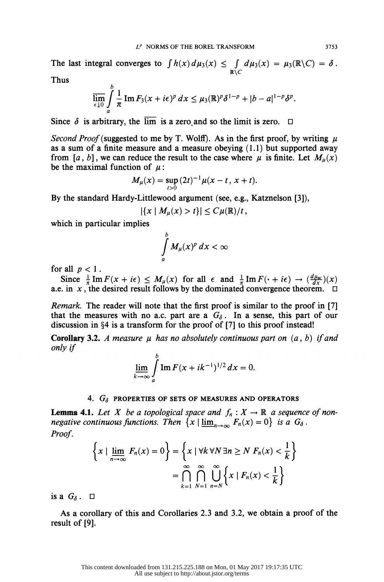The last integral converges to  $\int h(x) d\mu_3(x) \leq \int_{\mathbb{R}\setminus C} d\mu_3(x) = \mu_3(\mathbb{R}\setminus C) = \delta$ .

Thus

$$
\overline{\lim_{\epsilon\downarrow 0}}\int\limits_a^b\frac{1}{\pi}\operatorname{Im} F_3(x+i\epsilon)^p\,dx\leq \mu_3(\mathbb{R})^p\delta^{1-p}+|b-a|^{1-p}\delta^p.
$$

Since  $\delta$  is arbitrary, the  $\overline{\lim}$  is a zero and so the limit is zero.  $\Box$ 

Second Proof (suggested to me by T. Wolff). As in the first proof, by writing  $\mu$ as a sum of a finite measure and a measure obeying  $(1.1)$  but supported away from [a, b], we can reduce the result to the case where  $\mu$  is finite. Let  $M_u(x)$ be the maximal function of  $\mu$ :

$$
M_{\mu}(x) = \sup_{t>0} (2t)^{-1} \mu(x-t, x+t).
$$

By the standard Hardy-Littlewood argument (see, e.g., Katznelson [3]),

$$
|\{x \mid M_{\mu}(x) > t\}| \leq C \mu(\mathbb{R})/t,
$$

which in particular implies

 $\mathbf{r}$ 

$$
\int\limits_a^b M_{\mu}(x)^p\,dx < \infty
$$

for all  $p < 1$ .

Since  $\frac{1}{\pi} \text{Im } F(x + i\epsilon) \leq M_{\mu}(x)$  for all  $\epsilon$  and  $\frac{1}{\pi} \text{Im } F(\cdot + i\epsilon) \to (\frac{u\mu_{\text{acc}}}{dx})(x)$ a.e. in x, the desired result follows by the dominated convergence theorem.  $\Box$ 

Remark. The reader will note that the first proof is similar to the proof in [7] that the measures with no a.c. part are a  $G_{\delta}$ . In a sense, this part of our discussion in  $\S 4$  is a transform for the proof of [7] to this proof instead!

**Corollary 3.2.** A measure  $\mu$  has no absolutely continuous part on  $(a, b)$  if and only if

$$
\lim_{k \to \infty} \int_{a}^{b} \text{Im } F(x + ik^{-1})^{1/2} dx = 0.
$$

### 4.  $G_{\delta}$  PROPERTIES OF SETS OF MEASURES AND OPERATORS

**Lemma 4.1.** Let X be a topological space and  $f_n: X \to \mathbb{R}$  a sequence of nonnegative continuous functions. Then  $\{x \mid \underline{\lim}_{n\to\infty} F_n(x) = 0\}$  is a  $G_\delta$ . Proof.

$$
\left\{ x \mid \underline{\lim}_{n \to \infty} F_n(x) = 0 \right\} = \left\{ x \mid \forall k \forall N \exists n \ge N \ F_n(x) < \frac{1}{k} \right\}
$$
\n
$$
= \bigcap_{k=1}^{\infty} \bigcap_{N=1}^{\infty} \bigcup_{n=N}^{\infty} \left\{ x \mid F_n(x) < \frac{1}{k} \right\}
$$

is a  $G_{\delta}$ .  $\Box$ 

 As a corollary of this and Corollaries 2.3 and 3.2, we obtain a proof of the result of [9].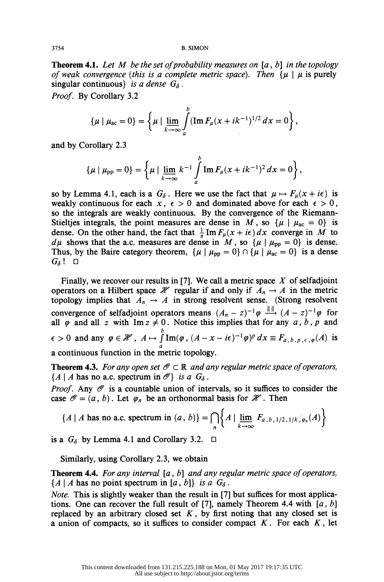**Theorem 4.1.** Let M be the set of probability measures on  $[a, b]$  in the topology of weak convergence (this is a complete metric space). Then  $\{ \mu \mid \mu \}$  is purely singular continuous} is a dense  $G_{\delta}$ .

Proof. By Corollary 3.2

$$
\{\mu \mid \mu_{ac} = 0\} = \left\{ \mu \mid \lim_{k \to \infty} \int_a^b (\operatorname{Im} F_\mu(x + i k^{-1})^{1/2} dx = 0 \right\},\,
$$

and by Corollary 2.3

$$
\{\mu \mid \mu_{\rm pp} = 0\} = \left\{ \mu \mid \underline{\lim}_{k \to \infty} k^{-1} \int_a^b \mathrm{Im} \, F_\mu(x + i k^{-1})^2 \, dx = 0 \right\},\,
$$

so by Lemma 4.1, each is a  $G_{\delta}$ . Here we use the fact that  $\mu \mapsto F_{\mu}(x + i\epsilon)$  is weakly continuous for each  $x, \epsilon > 0$  and dominated above for each  $\epsilon > 0$ , so the integrals are weakly continuous. By the convergence of the Riemann- Stieltjes integrals, the point measures are dense in M, so  $\{\mu \mid \mu_{ac} = 0\}$  is dense. On the other hand, the fact that  $\frac{1}{\pi}$  Im  $F_{\mu}(x + i\epsilon) dx$  converge in M to  $d\mu$  shows that the a.c. measures are dense in M, so  $\{\mu \mid \mu_{\text{pp}} = 0\}$  is dense. Thus, by the Baire category theorem,  $\{\mu \mid \mu_{pp} = 0\} \cap \{\mu \mid \mu_{ac} = 0\}$  is a dense  $G_{\delta}!$  o

Finally, we recover our results in [7]. We call a metric space  $X$  of selfadjoint operators on a Hilbert space  $\mathcal X$  regular if and only if  $A_n \to A$  in the metric topology implies that  $A_n \to A$  in strong resolvent sense. (Strong resolvent convergence of selfadjoint operators means  $(A_n - z)^{-1} \varphi \xrightarrow{m} (A - z)^{-1} \varphi$  for all  $\varphi$  and all z with Im  $z \neq 0$ . Notice this implies that for any  $a, b, p$  and  $\epsilon > 0$  and any  $\varphi \in \mathscr{H}$ ,  $A \mapsto \int_a^b \text{Im}(\varphi, (A - x - i\epsilon)^{-1} \varphi)^p dx \equiv F_{a,b,p,\epsilon,\varphi}(A)$  is a continuous function in the metric topology.

**Theorem 4.3.** For any open set  $\mathcal{O} \subset \mathbb{R}$  and any regular metric space of operators,  ${A | A$  has no a.c. spectrum in  $\mathcal{O}$  is a  $G_{\delta}$ .

*Proof.* Any  $\mathcal O$  is a countable union of intervals, so it suffices to consider the case  $\mathcal{O} = (a, b)$ . Let  $\varphi_n$  be an orthonormal basis for  $\mathcal{H}$ . Then

$$
\{A \mid A \text{ has no a.c. spectrum in } (a, b)\} = \bigcap_{n} \left\{ A \mid \lim_{k \to \infty} F_{a, b, 1/2, 1/k, \varphi_n}(A) \right\}
$$

is a  $G_{\delta}$  by Lemma 4.1 and Corollary 3.2.  $\Box$ 

Similarly, using Corollary 2.3, we obtain

**Theorem 4.4.** For any interval  $[a, b]$  and any regular metric space of operators,  ${A | A$  has no point spectrum in [a, b] is a  $G_{\delta}$ .

 Note. This is slightly weaker than the result in [7] but suffices for most applica tions. One can recover the full result of [7], namely Theorem 4.4 with  $[a, b]$ replaced by an arbitrary closed set  $K$ , by first noting that any closed set is a union of compacts, so it suffices to consider compact  $K$ . For each  $K$ , let